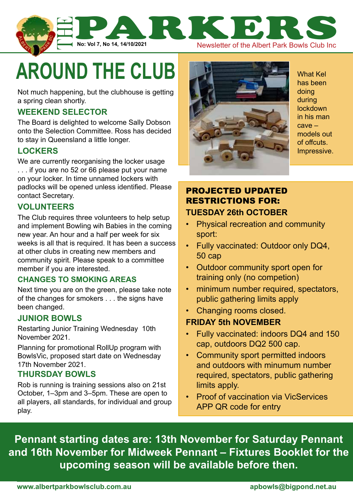

**AROUND THE CLUB** 

Not much happening, but the clubhouse is getting a spring clean shortly.

# **Weekend selector**

The Board is delighted to welcome Sally Dobson onto the Selection Committee. Ross has decided to stay in Queensland a little longer.

## **Lockers**

We are currently reorganising the locker usage . . . if you are no 52 or 66 please put your name on your locker. In time unnamed lockers with padlocks will be opened unless identified. Please contact Secretary.

## **Volunteers**

The Club requires three volunteers to help setup and implement Bowling wih Babies in the coming new year. An hour and a half per week for six weeks is all that is required. It has been a success at other clubs in creating new members and community spirit. Please speak to a committee member if you are interested.

## **Changes to smoking areas**

Next time you are on the green, please take note of the changes for smokers . . . the signs have been changed.

## **Junior Bowls**

Restarting Junior Training Wednesday 10th November 2021.

Planning for promotional RollUp program with BowlsVic, proposed start date on Wednesday 17th November 2021.

## **THURSDAY BOWLS**

Rob is running is training sessions also on 21st October, 1–3pm and 3–5pm. These are open to all players, all standards, for individual and group play.



What Kel has been doing during lockdown in his man cave – models out of offcuts. Impressive.

# projected updated restrictions for: **tuesday 26th October**

- Physical recreation and community sport:
- Fully vaccinated: Outdoor only DQ4, 50 cap
- Outdoor community sport open for training only (no competion)
- minimum number required, spectators, public gathering limits apply
- Changing rooms closed.

## **Friday 5th November**

- Fully vaccinated: indoors DQ4 and 150 cap, outdoors DQ2 500 cap.
- Community sport permitted indoors and outdoors with minumum number required, spectators, public gathering limits apply.
- Proof of vaccination via VicServices APP QR code for entry

**Pennant starting dates are: 13th November for Saturday Pennant and 16th November for Midweek Pennant – Fixtures Booklet for the upcoming season will be available before then.**